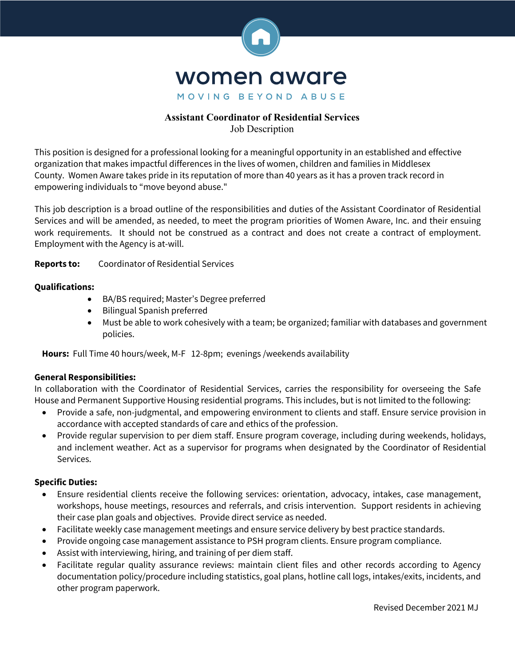

# **Assistant Coordinator of Residential Services**  Job Description

This position is designed for a professional looking for a meaningful opportunity in an established and effective organization that makes impactful differences in the lives of women, children and families in Middlesex County. Women Aware takes pride in its reputation of more than 40 years as it has a proven track record in empowering individuals to "move beyond abuse."

This job description is a broad outline of the responsibilities and duties of the Assistant Coordinator of Residential Services and will be amended, as needed, to meet the program priorities of Women Aware, Inc. and their ensuing work requirements. It should not be construed as a contract and does not create a contract of employment. Employment with the Agency is at-will.

# **Reports to:** Coordinator of Residential Services

# **Qualifications:**

- BA/BS required; Master's Degree preferred
- Bilingual Spanish preferred
- Must be able to work cohesively with a team; be organized; familiar with databases and government policies.

**Hours:** Full Time 40 hours/week, M-F 12-8pm; evenings /weekends availability

### **General Responsibilities:**

In collaboration with the Coordinator of Residential Services, carries the responsibility for overseeing the Safe House and Permanent Supportive Housing residential programs. This includes, but is not limited to the following:

- Provide a safe, non-judgmental, and empowering environment to clients and staff. Ensure service provision in accordance with accepted standards of care and ethics of the profession.
- Provide regular supervision to per diem staff. Ensure program coverage, including during weekends, holidays, and inclement weather. Act as a supervisor for programs when designated by the Coordinator of Residential Services.

### **Specific Duties:**

- Ensure residential clients receive the following services: orientation, advocacy, intakes, case management, workshops, house meetings, resources and referrals, and crisis intervention. Support residents in achieving their case plan goals and objectives. Provide direct service as needed.
- Facilitate weekly case management meetings and ensure service delivery by best practice standards.
- Provide ongoing case management assistance to PSH program clients. Ensure program compliance.
- Assist with interviewing, hiring, and training of per diem staff.
- Facilitate regular quality assurance reviews: maintain client files and other records according to Agency documentation policy/procedure including statistics, goal plans, hotline call logs, intakes/exits, incidents, and other program paperwork.